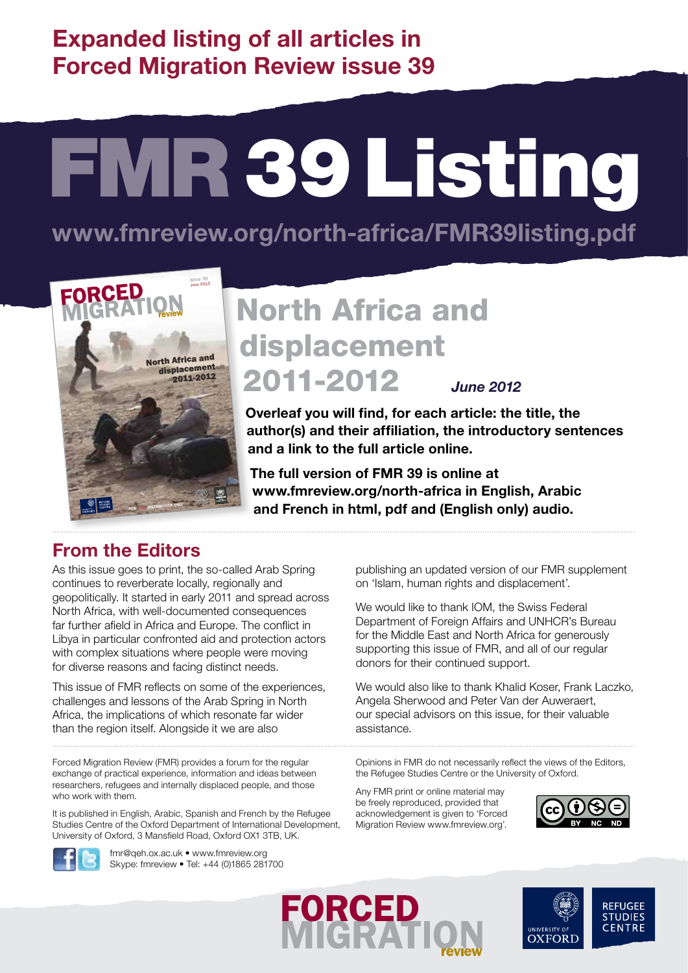**Expanded listing of all articles in Forced Migration Review issue 39**

# FMR 39 Listing

**www.fmreview.org/north-africa/FMR39listing.pdf**



# North Africa and displacement 2011-2012 *June 2012*

**Overleaf you will find, for each article: the title, the author(s) and their affiliation, the introductory sentences and a link to the full article online.** 

**The full version of FMR 39 is online at www.fmreview.org/north-africa in English, Arabic and French in html, pdf and (English only) audio.**

## **From the Editors**

As this issue goes to print, the so-called Arab Spring continues to reverberate locally, regionally and geopolitically. It started in early 2011 and spread across North Africa, with well-documented consequences far further afield in Africa and Europe. The conflict in Libya in particular confronted aid and protection actors with complex situations where people were moving for diverse reasons and facing distinct needs.

This issue of FMR reflects on some of the experiences, challenges and lessons of the Arab Spring in North Africa, the implications of which resonate far wider than the region itself. Alongside it we are also

Forced Migration Review (FMR) provides a forum for the regular exchange of practical experience, information and ideas between researchers, refugees and internally displaced people, and those who work with them.

It is published in English, Arabic, Spanish and French by the Refugee Studies Centre of the Oxford Department of International Development, University of Oxford, 3 Mansfield Road, Oxford OX1 3TB, UK.



fmr@qeh.ox.ac.uk • www.fmreview.org Skype: fmreview • Tel: +44 (0)1865 281700 publishing an updated version of our FMR supplement on 'Islam, human rights and displacement'.

We would like to thank IOM, the Swiss Federal Department of Foreign Affairs and UNHCR's Bureau for the Middle East and North Africa for generously supporting this issue of FMR, and all of our regular donors for their continued support.

We would also like to thank Khalid Koser, Frank Laczko, Angela Sherwood and Peter Van der Auweraert, our special advisors on this issue, for their valuable assistance.

Opinions in FMR do not necessarily reflect the views of the Editors, the Refugee Studies Centre or the University of Oxford.

Any FMR print or online material may be freely reproduced, provided that acknowledgement is given to 'Forced Migration Review www.fmreview.org'.